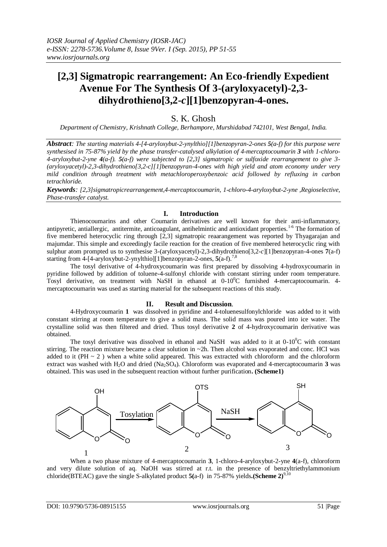# **[2,3] Sigmatropic rearrangement: An Eco-friendly Expedient Avenue For The Synthesis Of 3-(aryloxyacetyl)-2,3 dihydrothieno[3,2-***c***][1]benzopyran-4-ones.**

## S. K. Ghosh

*Department of Chemistry, Krishnath College, Berhampore, Murshidabad 742101, West Bengal, India.*

*Abstract: The starting materials 4-[4-aryloxybut-2-ynylthio][1]benzopyran-2-ones 5(a-f) for this purpose were synthesised in 75-87% yield by the phase transfer-catalysed alkylation of 4-mercaptocoumarin 3 with 1-chloro-4-aryloxybut-2-yne 4(a-f). 5(a-f) were subjected to [2,3] sigmatropic or sulfoxide rearrangement to give 3- (aryloxyacetyl)-2,3-dihydrothieno[3,2-c][1]benzopyran-4-ones with high yield and atom economy under very mild condition through treatment with metachloroperoxybenzoic acid followed by refluxing in carbon tetrachloride.* 

*Keywords: [2,3]sigmatropicrearrangement,4-mercaptocoumarin, 1-chloro-4-aryloxybut-2-yne ,Regioselective, Phase-transfer catalyst.*

#### **I. Introduction**

Thienocoumarins and other Coumarin derivatives are well known for their anti-inflammatory, antipyretic, antiallergic, antitermite, anticoagulant, antihelmintic and antioxidant properties.<sup>1-6</sup> The formation of five membered heterocyclic ring through [2,3] sigmatropic reaarangement was reported by Thyagarajan and majumdar. This simple and exceedingly facile reaction for the creation of five membered heterocyclic ring with sulphur atom prompted us to synthesise 3-(aryloxyacetyl)-2,3-dihydrothieno[3,2-*c*][1]benzopyran-4-ones **7**(a-f) starting from 4-[4-aryloxybut-2-ynylthio][1]benzopyran-2-ones, **5**(a-f).7,8

The tosyl derivative of 4-hydroxycoumarin was first prepared by dissolving 4-hydroxycoumarin in pyridine followed by addition of toluene-4-sulfonyl chloride with constant stirring under room temperature. Tosyl derivative, on treatment with NaSH in ethanol at  $0-10^{\circ}$ C furnished 4-mercaptocoumarin. 4mercaptocoumarin was used as starting material for the subsequent reactions of this study.

### **II. Result and Discussion**.

4-Hydroxycoumarin **1** was dissolved in pyridine and 4-toluenesulfonylchloride was added to it with constant stirring at room temperature to give a solid mass. The solid mass was poured into ice water. The crystalline solid was then filtered and dried. Thus tosyl derivative **2** of 4-hydroxycoumarin derivative was obtained.

The tosyl derivative was dissolved in ethanol and NaSH was added to it at  $0-10^{\circ}$ C with constant stirring. The reaction mixture became a clear solution in  $\sim$ 2h. Then alcohol was evaporated and conc. HCI was added to it (PH  $\sim$  2) when a white solid appeared. This was extracted with chloroform and the chloroform extract was washed with H<sub>2</sub>O and dried (Na<sub>2</sub>SO<sub>4</sub>). Chloroform was evaporated and 4-mercaptocoumarin **3** was obtained. This was used in the subsequent reaction without further purification**. (Scheme1)**



When a two phase mixture of 4-mercaptocoumarin **3**, 1-chloro-4-aryloxybut-2-yne **4**(a-f), chloroform and very dilute solution of aq. NaOH was stirred at r.t. in the presence of benzyltriethylammonium chloride(BTEAC) gave the single S-alkylated product  $\mathbf{5}$ (a-f) in 75-87% yields**.(Scheme 2)**<sup>9,10</sup>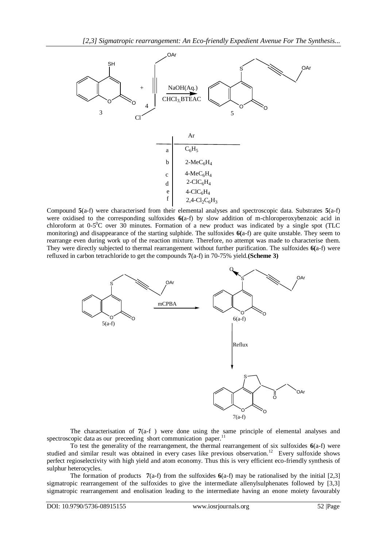

Compound **5**(a-f) were characterised from their elemental analyses and spectroscopic data. Substrates **5**(a-f) were oxidised to the corresponding sulfoxides **6(**a-f) by slow addition of m-chloroperoxybenzoic acid in chloroform at  $0-5^0C$  over 30 minutes. Formation of a new product was indicated by a single spot (TLC monitoring) and disappearance of the starting sulphide. The sulfoxides **6(**a-f) are quite unstable. They seem to rearrange even during work up of the reaction mixture. Therefore, no attempt was made to characterise them. They were directly subjected to thermal rearrangement without further purification. The sulfoxides **6(**a-f) were refluxed in carbon tetrachloride to get the compounds **7**(a-f) in 70-75% yield.**(Scheme 3)**



The characterisation of **7**(a-f ) were done using the same principle of elemental analyses and spectroscopic data as our preceeding short communication paper.<sup>11</sup>

To test the generality of the rearrangement, the thermal rearrangement of six sulfoxides **6**(a-f) were studied and similar result was obtained in every cases like previous observation.<sup>12</sup> Every sulfoxide shows perfect regioselectivity with high yield and atom economy. Thus this is very efficient eco-friendly synthesis of sulphur heterocycles.

The formation of products **7**(a-f) from the sulfoxides **6**(a-f) may be rationalised by the initial [2,3] sigmatropic rearrangement of the sulfoxides to give the intermediate allenylsulphenates followed by [3,3] sigmatropic rearrangement and enolisation leading to the intermediate having an enone moiety favourably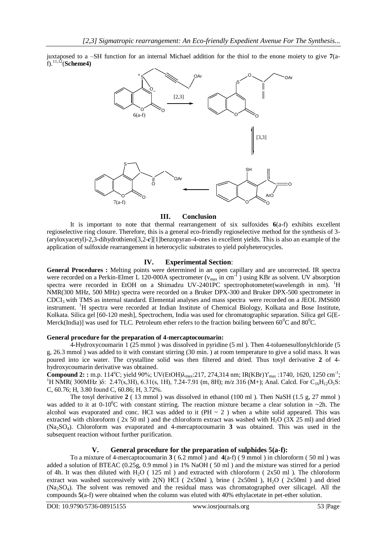juxtaposed to a –SH function for an internal Michael addition for the thiol to the enone moiety to give **7**(af).11,12(**Scheme4)**



#### **III. Conclusion**

It is important to note that thermal rearrangement of six sulfoxides **6**(a-f) exhibits excellent regioselective ring closure. Therefore, this is a general eco-friendly regioselective method for the synthesis of 3- (aryloxyacetyl)-2,3-dihydrothieno[3,2-*c*][1]benzopyran-4-ones in excellent yields. This is also an example of the application of sulfoxide rearrangement in heterocyclic substrates to yield polyheterocycles.

### **IV. Experimental Section**:

**General Procedures :** Melting points were determined in an open capillary and are uncorrected. IR spectra were recorded on a Perkin-Elmer L 120-000A spectrometer ( $v_{max}$  in cm<sup>-1</sup>) using KBr as solvent. UV absorption spectra were recorded in EtOH on a Shimadzu UV-2401PC spectrophotometer(wavelength in nm). <sup>1</sup>H NMR(300 MHz, 500 MHz) spectra were recorded on a Bruker DPX-300 and Bruker DPX-500 spectrometer in CDCI3 with TMS as internal standard. Elemental analyses and mass spectra were recorded on a JEOL JMS600 instrument. <sup>1</sup>H spectra were recorded at Indian Institute of Chemical Biology, Kolkata and Bose Institute, Kolkata. Silica gel [60-120 mesh], Spectrochem, India was used for chromatographic separation. Silica gel G[E-Merck(India)] was used for TLC. Petroleum ether refers to the fraction boiling between  $60^{\circ}$ C and  $80^{\circ}$ C.

#### **General procedure for the preparation of 4-mercaptocoumarin:**

4-Hydroxycoumarin 1 (25 mmol ) was dissolved in pyridine (5 ml ). Then 4-toluenesulfonylchloride (5 g, 26.3 mmol ) was added to it with constant stirring (30 min. ) at room temperature to give a solid mass. It was poured into ice water. The crystalline solid was then filtered and dried. Thus tosyl derivative **2** of 4 hydroxycoumarin derivative was obtained.

**Compound 2: :** m.p. 114°C; yield 90%; UV(EtOH)λ<sub>max</sub>:217, 274,314 nm; IR(KBr)Υ<sub>max</sub> :1740, 1620, 1250 cm<sup>-1</sup>; <sup>1</sup>H NMR( 300MHz ) $\delta$ : 2.47(s,3H), 6.31(s, 1H), 7.24-7.91 (m, 8H); m/z 316 (M+); Anal. Calcd. For C<sub>16</sub>H<sub>12</sub>O<sub>5</sub>S: C, 60.76; H, 3.80 found C, 60.86; H, 3.72%.

The tosyl derivative **2** ( 13 mmol ) was dissolved in ethanol (100 ml ). Then NaSH (1.5 g, 27 mmol ) was added to it at  $0-10^0$ C with constant stirring. The reaction mixture became a clear solution in ~2h. The alcohol was evaporated and conc. HCI was added to it ( $PH \sim 2$ ) when a white solid appeared. This was extracted with chloroform ( $2x 50$  ml) and the chloroform extract was washed with H<sub>2</sub>O ( $3X 25$  ml) and dried (Na2SO4). Chloroform was evaporated and 4-mercaptocoumarin **3** was obtained. This was used in the subsequent reaction without further purification.

## **V. General procedure for the preparation of sulphides 5(a-f):**

To a mixture of 4-mercaptocoumarin **3** ( 6.2 mmol ) and **4**(a-f) ( 9 mmol ) in chloroform ( 50 ml ) was added a solution of BTEAC (0.25g, 0.9 mmol ) in 1% NaOH ( 50 ml ) and the mixture was stirred for a period of 4h. It was then diluted with H<sub>2</sub>O (125 ml) and extracted with chloroform (2x50 ml). The chloroform extract was washed successively with  $2(N)$  HCI ( $2x50ml$ ), brine ( $2x50ml$ ), H<sub>2</sub>O ( $2x50ml$ ) and dried (Na2SO4). The solvent was removed and the residual mass was chromatographed over silicagel. All the compounds **5**(a-f) were obtained when the column was eluted with 40% ethylacetate in pet-ether solution.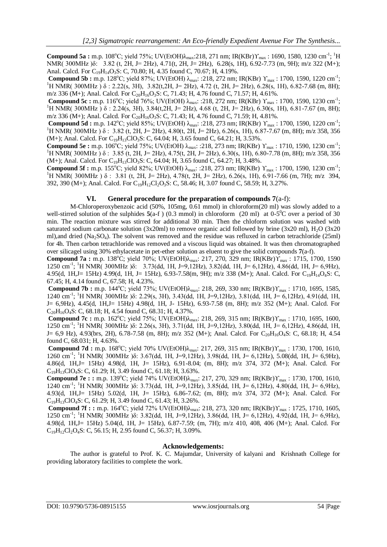**Compound 5a :** m.p. 108°C; yield 75%; UV(EtOH) $\lambda_{max}$ :218, 271 nm; IR(KBr) $\Upsilon_{max}$ : 1690, 1580, 1230 cm<sup>-1</sup>; <sup>1</sup>H NMR( 300MHz )δ: 3.82 (t, 2H, J= 2Hz), 4.71(t, 2H, J= 2Hz), 6.28(s, 1H), 6.92-7.73 (m, 9H); m/z 322 (M+); Anal. Calcd. For C<sub>19</sub>H<sub>14</sub>O<sub>3</sub>S: C, 70.80; H, 4.35 found C, 70.67; H, 4.19%.

**Compound 5b :** m.p. 128°C; yield 87%; UV(EtOH)  $\lambda_{\text{max}}$ : :218, 272 nm; IR(KBr)  $\Upsilon_{\text{max}}$ : 1700, 1590, 1220 cm<sup>-1</sup>; <sup>1</sup>H NMR( 300MHz )  $\delta$  : 2.22(s, 3H), 3.82(t, 2H, J= 2Hz), 4.72 (t, 2H, J= 2Hz), 6.28(s, 1H), 6.82-7.68 (m, 8H); m/z 336 (M+); Anal. Calcd. For  $C_{20}H_{16}O_3S$ : C, 71.43; H, 4.76 found C, 71.57; H, 4.61%.

**Compound 5c :** m.p. 116°C; yield 76%; UV(EtOH)  $\lambda_{\text{max}}$ : :218, 272 nm; IR(KBr)  $\Upsilon_{\text{max}}$ : 1700, 1590, 1230 cm<sup>-1</sup>; <sup>1</sup>H NMR( 300MHz )  $\delta$  : 2.24(s, 3H), 3.84(t, 2H, J= 2Hz), 4.68 (t, 2H, J= 2Hz), 6.30(s, 1H), 6.81-7.67 (m, 8H); m/z 336 (M+); Anal. Calcd. For  $C_{20}H_{16}O_3S$ : C, 71.43; H, 4.76 found C, 71.59; H, 4.81%.

**Compound 5d :** m.p. 142°C; yield 85%; UV(EtOH)  $\lambda_{\text{max}}$ : :218, 273 nm; IR(KBr)  $\Upsilon_{\text{max}}$ : 1700, 1590, 1220 cm<sup>-1</sup>; <sup>1</sup>H NMR( 300MHz )  $\delta$  : 3.82 (t, 2H, J= 2Hz), 4.80(t, 2H, J= 2Hz), 6.26(s, 1H), 6.87-7.67 (m, 8H); m/z 358, 356  $(M+)$ ; Anal. Calcd. For  $C_{19}H_{13}ClO_3S$ : C, 64.04; H, 3.65 found C, 64.21; H, 3.53%.

**Compound 5e :** m.p. 106°C; yield 75%; UV(EtOH)  $\lambda_{\text{max}}$ : :218, 273 nm; IR(KBr)  $\Upsilon_{\text{max}}$ : 1710, 1590, 1230 cm<sup>-1</sup>;  $1_H NMR(300MHz) \delta$ : 3.85 (t, 2H, J= 2Hz), 4.75(t, 2H, J= 2Hz), 6.30(s, 1H), 6.80-7.78 (m, 8H); m/z 358, 356 (M+); Anal. Calcd. For  $C_{19}H_{13}ClO_3S$ : C, 64.04; H, 3.65 found C, 64.27; H, 3.48%.

**Compound 5f :** m.p. 155°C; yield 82%; UV(EtOH)  $\lambda_{max}$ : :218, 273 nm; IR(KBr) Υ<sub>max</sub>: 1700, 1590, 1230 cm<sup>-1</sup>; <sup>1</sup>H NMR( 300MHz )  $\delta$  : 3.81 (t, 2H, J= 2Hz), 4.78(t, 2H, J= 2Hz), 6.26(s, 1H), 6.91-7.66 (m, 7H); m/z 394, 392, 390 (M+); Anal. Calcd. For C<sub>19</sub>H<sub>12</sub>Cl<sub>2</sub>O<sub>3</sub>S: C, 58.46; H, 3.07 found C, 58.59; H, 3.27%.

### **VI. General procedure for the preparation of compounds 7**(a-f):

M-Chloroperoxybenzoic acid (50%, 105mg, 0.61 mmol) in chloroform(20 ml) was slowly added to a well-stirred solution of the sulphides  $5(a-f)$  (0.3 mmol) in chloroform (20 ml) at  $0.5^{\circ}$ C over a period of 30 min. The reaction mixture was stirred for additional 30 min. Then the chloform solution was washed with saturated sodium carbonate solution (3x20ml) to remove organic acid followed by brine (3x20 ml),  $H_2O$  (3x20 ml),and dried (Na<sub>2</sub>SO<sub>4</sub>). The solvent was removed and the residue was refluxed in carbon tetrachloride (25ml) for 4h. Then carbon tetrachloride was removed and a viscous liquid was obtained. It was then chromatographed over silicagel using 30% ethylacetate in pet-ether solution as eluent to give the solid compounds **7**(a-f).

**Compound 7a :** m.p. 138°C; yield 70%; UV(EtOH)λ<sub>max</sub>: 217, 270, 329 nm; IR(KBr)Υ<sub>max</sub>: 1715, 1700, 1590 1250 cm-1 ; <sup>1</sup>H NMR( 300MHz )δ: 3.73(dd, 1H, J=9,12Hz), 3.82(dd, 1H, J= 6,12Hz), 4.86(dd, 1H, J= 6,9Hz), 4.95(d, 1H,J= 15Hz) 4.99(d, 1H, J= 15Hz), 6.93-7.58(m, 9H); m/z 338 (M+); Anal. Calcd. For C19H14O4S: C, 67.45; H, 4.14 found C, 67.58; H, 4.23%.

Compound 7b : m.p. 144°C; yield 73%; UV(EtOH)λ<sub>max</sub>: 218, 269, 330 nm; IR(KBr)Υ<sub>max</sub>: 1710, 1695, 1585, 1240 cm<sup>-1</sup>; <sup>1</sup>H NMR( 300MHz )δ: 2.29(s, 3H), 3.43(dd, 1H, J=9,12Hz), 3.81(dd, 1H, J= 6,12Hz), 4.91(dd, 1H, J= 6,9Hz), 4.45(d, 1H,J= 15Hz) 4.98(d, 1H, J- 15Hz), 6.93-7.58 (m, 8H); m/z 352 (M+); Anal. Calcd. For  $C_{20}H_{16}O_4S$ : C, 68.18; H, 4.54 found C, 68.31; H, 4.37%.

**Compound 7c :** m.p. 162°C; yield 75%; UV(EtOH) $\lambda_{\text{max}}$ : 218, 269, 315 nm; IR(KBr)Υ<sub>max</sub>: 1710, 1695, 1600, 1250 cm<sup>-1</sup>; <sup>1</sup>H NMR( 300MHz )δ: 2.26(s, 3H), 3.71(dd, 1H, J=9,12Hz), 3.80(dd, 1H, J= 6,12Hz), 4.86(dd, 1H, J= 6,9 Hz), 4,93(brs, 2H), 6.78-7.58 (m, 8H); m/z 352 (M+); Anal. Calcd. For  $C_{20}H_{16}O_4S$ : C, 68.18; H, 4.54 found C, 68.031; H, 4.63%.

**Compound 7d :** m.p. 168°C; yield 70% UV(EtOH)λ<sub>max</sub>: 217, 269, 315 nm; IR(KBr)Υ<sub>max</sub> : 1730, 1700, 1610, 1260 cm-1 ; <sup>1</sup>H NMR( 300MHz )δ: 3.67(dd, 1H, J=9,12Hz), 3.98(dd, 1H, J= 6,12Hz), 5.08(dd, 1H, J= 6,9Hz), 4.86(d, 1H,J= 15Hz) 4.98(d, 1H, J= 15Hz), 6.91-8.04; (m, 8H); m/z 374, 372 (M+); Anal. Calcd. For  $C_{19}H_{13}ClO_4S$ : C, 61.29; H, 3.49 found C, 61.18; H, 3.63%.

Compound 7e : : m.p. 139°C; yield 74% UV(EtOH) $\lambda_{max}$ : 217, 270, 329 nm; IR(KBr)Υ<sub>max</sub> : 1730, 1700, 1610, 1240 cm-1 ; <sup>1</sup>H NMR( 300MHz )δ: 3.73(dd, 1H, J=9,12Hz), 3.85(dd, 1H, J= 6,12Hz), 4.80(dd, 1H, J= 6,9Hz), 4.93(d, 1H,J= 15Hz) 5.02(d, 1H, J= 15Hz), 6.86-7.62; (m, 8H); m/z 374, 372 (M+); Anal. Calcd. For  $C_{19}H_{13}ClO_4S$ : C, 61.29; H, 3.49 found C, 61.43; H, 3.26%.

**Compound 7f : :** m.p. 164<sup>o</sup>C; yield 72% UV(EtOH) $\lambda_{\text{max}}$ : 218, 273, 320 nm; IR(KBr) $\gamma_{\text{max}}$ : 1725, 1710, 1605, 1250 cm-1 ; <sup>1</sup>H NMR( 300MHz )δ: 3.82(dd, 1H, J=9,12Hz), 3.86(dd, 1H, J= 6,12Hz), 4.92(dd, 1H, J= 6,9Hz), 4.98(d, 1H,J= 15Hz) 5.04(d, 1H, J= 15Hz), 6.87-7.59; (m, 7H); m/z 410, 408, 406 (M+); Anal. Calcd. For  $C_{19}H_{12}Cl_2O_4S$ : C, 56.15; H, 2.95 found C, 56.37; H, 3.09%.

#### **Acknowledgements:**

The author is grateful to Prof. K. C. Majumdar, University of kalyani and Krishnath College for providing laboratory facilities to complete the work.